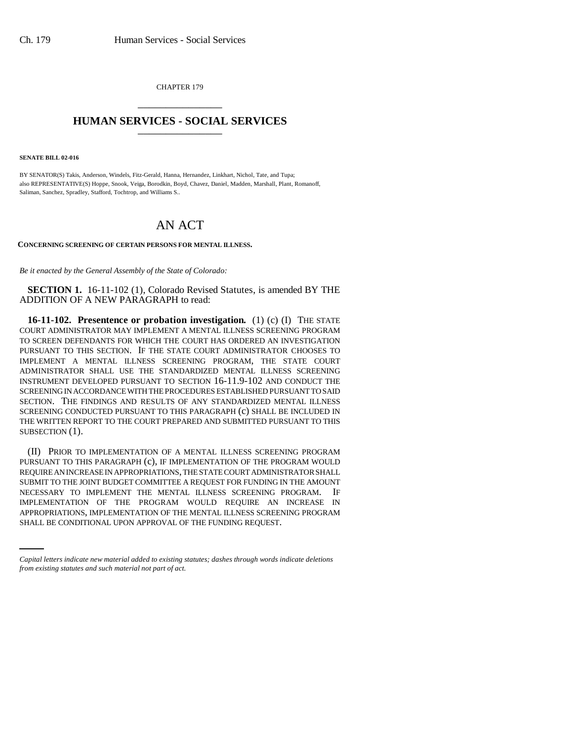CHAPTER 179 \_\_\_\_\_\_\_\_\_\_\_\_\_\_\_

## **HUMAN SERVICES - SOCIAL SERVICES** \_\_\_\_\_\_\_\_\_\_\_\_\_\_\_

**SENATE BILL 02-016**

BY SENATOR(S) Takis, Anderson, Windels, Fitz-Gerald, Hanna, Hernandez, Linkhart, Nichol, Tate, and Tupa; also REPRESENTATIVE(S) Hoppe, Snook, Veiga, Borodkin, Boyd, Chavez, Daniel, Madden, Marshall, Plant, Romanoff, Saliman, Sanchez, Spradley, Stafford, Tochtrop, and Williams S..

# AN ACT

#### **CONCERNING SCREENING OF CERTAIN PERSONS FOR MENTAL ILLNESS.**

*Be it enacted by the General Assembly of the State of Colorado:*

**SECTION 1.** 16-11-102 (1), Colorado Revised Statutes, is amended BY THE ADDITION OF A NEW PARAGRAPH to read:

**16-11-102. Presentence or probation investigation.** (1) (c) (I) THE STATE COURT ADMINISTRATOR MAY IMPLEMENT A MENTAL ILLNESS SCREENING PROGRAM TO SCREEN DEFENDANTS FOR WHICH THE COURT HAS ORDERED AN INVESTIGATION PURSUANT TO THIS SECTION. IF THE STATE COURT ADMINISTRATOR CHOOSES TO IMPLEMENT A MENTAL ILLNESS SCREENING PROGRAM, THE STATE COURT ADMINISTRATOR SHALL USE THE STANDARDIZED MENTAL ILLNESS SCREENING INSTRUMENT DEVELOPED PURSUANT TO SECTION 16-11.9-102 AND CONDUCT THE SCREENING IN ACCORDANCE WITH THE PROCEDURES ESTABLISHED PURSUANT TO SAID SECTION. THE FINDINGS AND RESULTS OF ANY STANDARDIZED MENTAL ILLNESS SCREENING CONDUCTED PURSUANT TO THIS PARAGRAPH (c) SHALL BE INCLUDED IN THE WRITTEN REPORT TO THE COURT PREPARED AND SUBMITTED PURSUANT TO THIS SUBSECTION (1).

IMPLEMENTATION OF THE PROGRAM WOULD REQUIRE AN INCREASE IN (II) PRIOR TO IMPLEMENTATION OF A MENTAL ILLNESS SCREENING PROGRAM PURSUANT TO THIS PARAGRAPH (c), IF IMPLEMENTATION OF THE PROGRAM WOULD REQUIRE AN INCREASE IN APPROPRIATIONS, THE STATE COURT ADMINISTRATOR SHALL SUBMIT TO THE JOINT BUDGET COMMITTEE A REQUEST FOR FUNDING IN THE AMOUNT NECESSARY TO IMPLEMENT THE MENTAL ILLNESS SCREENING PROGRAM. IF APPROPRIATIONS, IMPLEMENTATION OF THE MENTAL ILLNESS SCREENING PROGRAM SHALL BE CONDITIONAL UPON APPROVAL OF THE FUNDING REQUEST.

*Capital letters indicate new material added to existing statutes; dashes through words indicate deletions from existing statutes and such material not part of act.*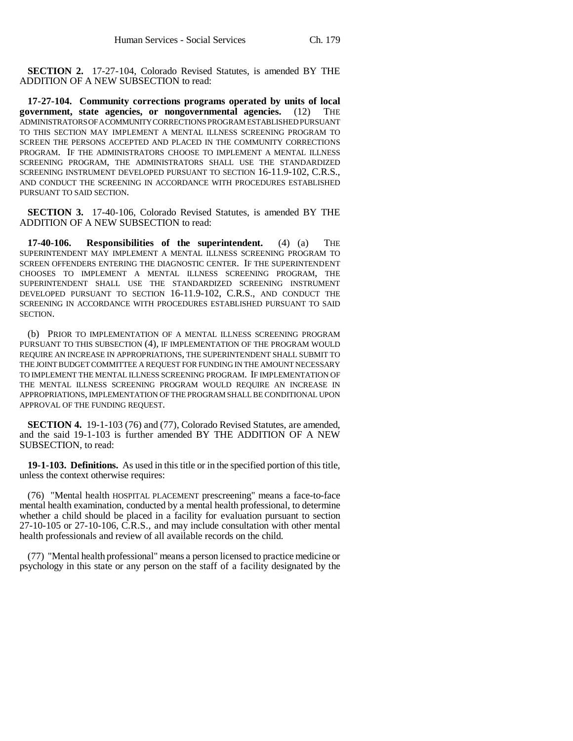**SECTION 2.** 17-27-104, Colorado Revised Statutes, is amended BY THE ADDITION OF A NEW SUBSECTION to read:

**17-27-104. Community corrections programs operated by units of local** government, state agencies, or nongovernmental agencies. (12) ADMINISTRATORS OF A COMMUNITY CORRECTIONS PROGRAM ESTABLISHED PURSUANT TO THIS SECTION MAY IMPLEMENT A MENTAL ILLNESS SCREENING PROGRAM TO SCREEN THE PERSONS ACCEPTED AND PLACED IN THE COMMUNITY CORRECTIONS PROGRAM. IF THE ADMINISTRATORS CHOOSE TO IMPLEMENT A MENTAL ILLNESS SCREENING PROGRAM, THE ADMINISTRATORS SHALL USE THE STANDARDIZED SCREENING INSTRUMENT DEVELOPED PURSUANT TO SECTION 16-11.9-102, C.R.S., AND CONDUCT THE SCREENING IN ACCORDANCE WITH PROCEDURES ESTABLISHED PURSUANT TO SAID SECTION.

**SECTION 3.** 17-40-106, Colorado Revised Statutes, is amended BY THE ADDITION OF A NEW SUBSECTION to read:

**17-40-106. Responsibilities of the superintendent.** (4) (a) THE SUPERINTENDENT MAY IMPLEMENT A MENTAL ILLNESS SCREENING PROGRAM TO SCREEN OFFENDERS ENTERING THE DIAGNOSTIC CENTER. IF THE SUPERINTENDENT CHOOSES TO IMPLEMENT A MENTAL ILLNESS SCREENING PROGRAM, THE SUPERINTENDENT SHALL USE THE STANDARDIZED SCREENING INSTRUMENT DEVELOPED PURSUANT TO SECTION 16-11.9-102, C.R.S., AND CONDUCT THE SCREENING IN ACCORDANCE WITH PROCEDURES ESTABLISHED PURSUANT TO SAID SECTION.

(b) PRIOR TO IMPLEMENTATION OF A MENTAL ILLNESS SCREENING PROGRAM PURSUANT TO THIS SUBSECTION (4), IF IMPLEMENTATION OF THE PROGRAM WOULD REQUIRE AN INCREASE IN APPROPRIATIONS, THE SUPERINTENDENT SHALL SUBMIT TO THE JOINT BUDGET COMMITTEE A REQUEST FOR FUNDING IN THE AMOUNT NECESSARY TO IMPLEMENT THE MENTAL ILLNESS SCREENING PROGRAM. IF IMPLEMENTATION OF THE MENTAL ILLNESS SCREENING PROGRAM WOULD REQUIRE AN INCREASE IN APPROPRIATIONS, IMPLEMENTATION OF THE PROGRAM SHALL BE CONDITIONAL UPON APPROVAL OF THE FUNDING REQUEST.

**SECTION 4.** 19-1-103 (76) and (77), Colorado Revised Statutes, are amended, and the said 19-1-103 is further amended BY THE ADDITION OF A NEW SUBSECTION, to read:

**19-1-103. Definitions.** As used in this title or in the specified portion of this title, unless the context otherwise requires:

(76) "Mental health HOSPITAL PLACEMENT prescreening" means a face-to-face mental health examination, conducted by a mental health professional, to determine whether a child should be placed in a facility for evaluation pursuant to section 27-10-105 or 27-10-106, C.R.S., and may include consultation with other mental health professionals and review of all available records on the child.

(77) "Mental health professional" means a person licensed to practice medicine or psychology in this state or any person on the staff of a facility designated by the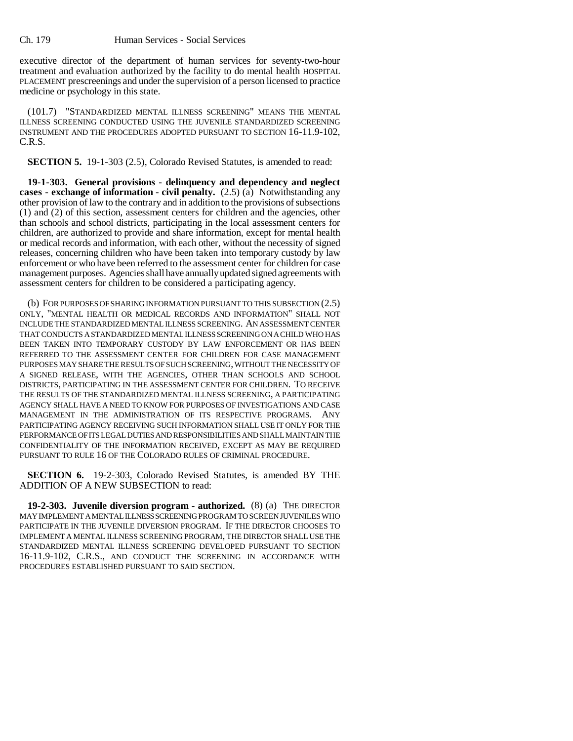executive director of the department of human services for seventy-two-hour treatment and evaluation authorized by the facility to do mental health HOSPITAL PLACEMENT prescreenings and under the supervision of a person licensed to practice medicine or psychology in this state.

(101.7) "STANDARDIZED MENTAL ILLNESS SCREENING" MEANS THE MENTAL ILLNESS SCREENING CONDUCTED USING THE JUVENILE STANDARDIZED SCREENING INSTRUMENT AND THE PROCEDURES ADOPTED PURSUANT TO SECTION 16-11.9-102, C.R.S.

**SECTION 5.** 19-1-303 (2.5), Colorado Revised Statutes, is amended to read:

**19-1-303. General provisions - delinquency and dependency and neglect cases - exchange of information - civil penalty.** (2.5) (a) Notwithstanding any other provision of law to the contrary and in addition to the provisions of subsections (1) and (2) of this section, assessment centers for children and the agencies, other than schools and school districts, participating in the local assessment centers for children, are authorized to provide and share information, except for mental health or medical records and information, with each other, without the necessity of signed releases, concerning children who have been taken into temporary custody by law enforcement or who have been referred to the assessment center for children for case management purposes. Agencies shall have annually updated signed agreements with assessment centers for children to be considered a participating agency.

(b) FOR PURPOSES OF SHARING INFORMATION PURSUANT TO THIS SUBSECTION (2.5) ONLY, "MENTAL HEALTH OR MEDICAL RECORDS AND INFORMATION" SHALL NOT INCLUDE THE STANDARDIZED MENTAL ILLNESS SCREENING. AN ASSESSMENT CENTER THAT CONDUCTS A STANDARDIZED MENTAL ILLNESS SCREENING ON A CHILD WHO HAS BEEN TAKEN INTO TEMPORARY CUSTODY BY LAW ENFORCEMENT OR HAS BEEN REFERRED TO THE ASSESSMENT CENTER FOR CHILDREN FOR CASE MANAGEMENT PURPOSES MAY SHARE THE RESULTS OF SUCH SCREENING, WITHOUT THE NECESSITY OF A SIGNED RELEASE, WITH THE AGENCIES, OTHER THAN SCHOOLS AND SCHOOL DISTRICTS, PARTICIPATING IN THE ASSESSMENT CENTER FOR CHILDREN. TO RECEIVE THE RESULTS OF THE STANDARDIZED MENTAL ILLNESS SCREENING, A PARTICIPATING AGENCY SHALL HAVE A NEED TO KNOW FOR PURPOSES OF INVESTIGATIONS AND CASE MANAGEMENT IN THE ADMINISTRATION OF ITS RESPECTIVE PROGRAMS. ANY PARTICIPATING AGENCY RECEIVING SUCH INFORMATION SHALL USE IT ONLY FOR THE PERFORMANCE OF ITS LEGAL DUTIES AND RESPONSIBILITIES AND SHALL MAINTAIN THE CONFIDENTIALITY OF THE INFORMATION RECEIVED, EXCEPT AS MAY BE REQUIRED PURSUANT TO RULE 16 OF THE COLORADO RULES OF CRIMINAL PROCEDURE.

**SECTION 6.** 19-2-303, Colorado Revised Statutes, is amended BY THE ADDITION OF A NEW SUBSECTION to read:

**19-2-303. Juvenile diversion program - authorized.** (8) (a) THE DIRECTOR MAY IMPLEMENT A MENTAL ILLNESS SCREENING PROGRAM TO SCREEN JUVENILES WHO PARTICIPATE IN THE JUVENILE DIVERSION PROGRAM. IF THE DIRECTOR CHOOSES TO IMPLEMENT A MENTAL ILLNESS SCREENING PROGRAM, THE DIRECTOR SHALL USE THE STANDARDIZED MENTAL ILLNESS SCREENING DEVELOPED PURSUANT TO SECTION 16-11.9-102, C.R.S., AND CONDUCT THE SCREENING IN ACCORDANCE WITH PROCEDURES ESTABLISHED PURSUANT TO SAID SECTION.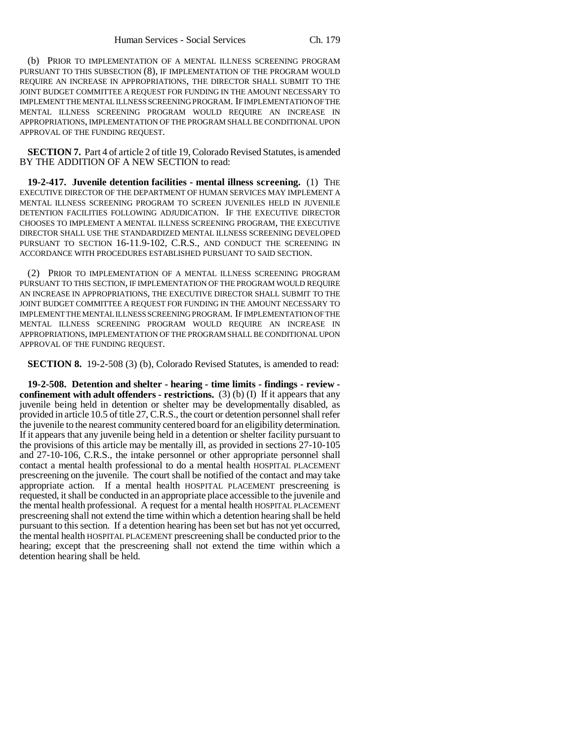(b) PRIOR TO IMPLEMENTATION OF A MENTAL ILLNESS SCREENING PROGRAM PURSUANT TO THIS SUBSECTION (8), IF IMPLEMENTATION OF THE PROGRAM WOULD REQUIRE AN INCREASE IN APPROPRIATIONS, THE DIRECTOR SHALL SUBMIT TO THE JOINT BUDGET COMMITTEE A REQUEST FOR FUNDING IN THE AMOUNT NECESSARY TO IMPLEMENT THE MENTAL ILLNESS SCREENING PROGRAM. IF IMPLEMENTATION OF THE MENTAL ILLNESS SCREENING PROGRAM WOULD REQUIRE AN INCREASE IN APPROPRIATIONS, IMPLEMENTATION OF THE PROGRAM SHALL BE CONDITIONAL UPON APPROVAL OF THE FUNDING REQUEST.

**SECTION 7.** Part 4 of article 2 of title 19, Colorado Revised Statutes, is amended BY THE ADDITION OF A NEW SECTION to read:

**19-2-417. Juvenile detention facilities - mental illness screening.** (1) THE EXECUTIVE DIRECTOR OF THE DEPARTMENT OF HUMAN SERVICES MAY IMPLEMENT A MENTAL ILLNESS SCREENING PROGRAM TO SCREEN JUVENILES HELD IN JUVENILE DETENTION FACILITIES FOLLOWING ADJUDICATION. IF THE EXECUTIVE DIRECTOR CHOOSES TO IMPLEMENT A MENTAL ILLNESS SCREENING PROGRAM, THE EXECUTIVE DIRECTOR SHALL USE THE STANDARDIZED MENTAL ILLNESS SCREENING DEVELOPED PURSUANT TO SECTION 16-11.9-102, C.R.S., AND CONDUCT THE SCREENING IN ACCORDANCE WITH PROCEDURES ESTABLISHED PURSUANT TO SAID SECTION.

(2) PRIOR TO IMPLEMENTATION OF A MENTAL ILLNESS SCREENING PROGRAM PURSUANT TO THIS SECTION, IF IMPLEMENTATION OF THE PROGRAM WOULD REQUIRE AN INCREASE IN APPROPRIATIONS, THE EXECUTIVE DIRECTOR SHALL SUBMIT TO THE JOINT BUDGET COMMITTEE A REQUEST FOR FUNDING IN THE AMOUNT NECESSARY TO IMPLEMENT THE MENTAL ILLNESS SCREENING PROGRAM. IF IMPLEMENTATION OF THE MENTAL ILLNESS SCREENING PROGRAM WOULD REQUIRE AN INCREASE IN APPROPRIATIONS, IMPLEMENTATION OF THE PROGRAM SHALL BE CONDITIONAL UPON APPROVAL OF THE FUNDING REQUEST.

**SECTION 8.** 19-2-508 (3) (b), Colorado Revised Statutes, is amended to read:

**19-2-508. Detention and shelter - hearing - time limits - findings - review confinement with adult offenders - restrictions.** (3) (b) (I) If it appears that any juvenile being held in detention or shelter may be developmentally disabled, as provided in article 10.5 of title 27, C.R.S., the court or detention personnel shall refer the juvenile to the nearest community centered board for an eligibility determination. If it appears that any juvenile being held in a detention or shelter facility pursuant to the provisions of this article may be mentally ill, as provided in sections 27-10-105 and 27-10-106, C.R.S., the intake personnel or other appropriate personnel shall contact a mental health professional to do a mental health HOSPITAL PLACEMENT prescreening on the juvenile. The court shall be notified of the contact and may take appropriate action. If a mental health HOSPITAL PLACEMENT prescreening is requested, it shall be conducted in an appropriate place accessible to the juvenile and the mental health professional. A request for a mental health HOSPITAL PLACEMENT prescreening shall not extend the time within which a detention hearing shall be held pursuant to this section. If a detention hearing has been set but has not yet occurred, the mental health HOSPITAL PLACEMENT prescreening shall be conducted prior to the hearing; except that the prescreening shall not extend the time within which a detention hearing shall be held.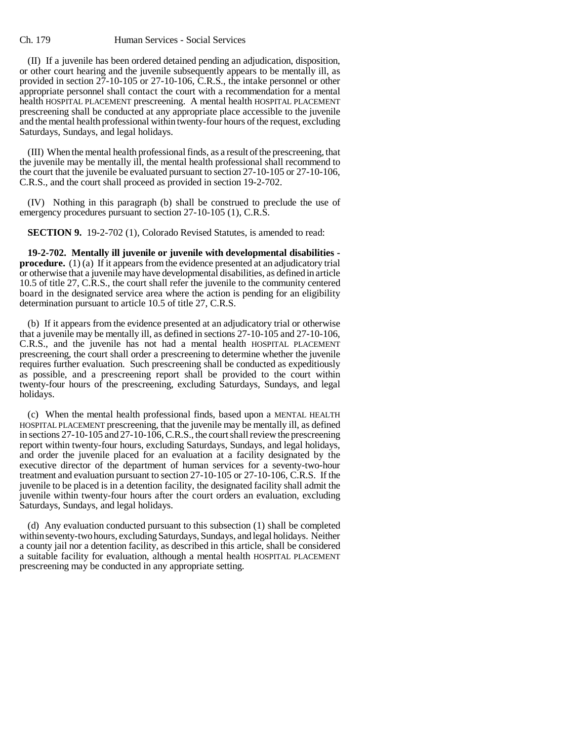## Ch. 179 Human Services - Social Services

(II) If a juvenile has been ordered detained pending an adjudication, disposition, or other court hearing and the juvenile subsequently appears to be mentally ill, as provided in section 27-10-105 or 27-10-106, C.R.S., the intake personnel or other appropriate personnel shall contact the court with a recommendation for a mental health HOSPITAL PLACEMENT prescreening. A mental health HOSPITAL PLACEMENT prescreening shall be conducted at any appropriate place accessible to the juvenile and the mental health professional within twenty-four hours of the request, excluding Saturdays, Sundays, and legal holidays.

(III) When the mental health professional finds, as a result of the prescreening, that the juvenile may be mentally ill, the mental health professional shall recommend to the court that the juvenile be evaluated pursuant to section 27-10-105 or 27-10-106, C.R.S., and the court shall proceed as provided in section 19-2-702.

(IV) Nothing in this paragraph (b) shall be construed to preclude the use of emergency procedures pursuant to section 27-10-105 (1), C.R.S.

**SECTION 9.** 19-2-702 (1), Colorado Revised Statutes, is amended to read:

**19-2-702. Mentally ill juvenile or juvenile with developmental disabilities procedure.** (1) (a) If it appears from the evidence presented at an adjudicatory trial or otherwise that a juvenile may have developmental disabilities, as defined in article 10.5 of title 27, C.R.S., the court shall refer the juvenile to the community centered board in the designated service area where the action is pending for an eligibility determination pursuant to article 10.5 of title 27, C.R.S.

(b) If it appears from the evidence presented at an adjudicatory trial or otherwise that a juvenile may be mentally ill, as defined in sections 27-10-105 and 27-10-106, C.R.S., and the juvenile has not had a mental health HOSPITAL PLACEMENT prescreening, the court shall order a prescreening to determine whether the juvenile requires further evaluation. Such prescreening shall be conducted as expeditiously as possible, and a prescreening report shall be provided to the court within twenty-four hours of the prescreening, excluding Saturdays, Sundays, and legal holidays.

(c) When the mental health professional finds, based upon a MENTAL HEALTH HOSPITAL PLACEMENT prescreening, that the juvenile may be mentally ill, as defined in sections 27-10-105 and 27-10-106, C.R.S., the court shall review the prescreening report within twenty-four hours, excluding Saturdays, Sundays, and legal holidays, and order the juvenile placed for an evaluation at a facility designated by the executive director of the department of human services for a seventy-two-hour treatment and evaluation pursuant to section 27-10-105 or 27-10-106, C.R.S. If the juvenile to be placed is in a detention facility, the designated facility shall admit the juvenile within twenty-four hours after the court orders an evaluation, excluding Saturdays, Sundays, and legal holidays.

(d) Any evaluation conducted pursuant to this subsection (1) shall be completed within seventy-two hours, excluding Saturdays, Sundays, and legal holidays. Neither a county jail nor a detention facility, as described in this article, shall be considered a suitable facility for evaluation, although a mental health HOSPITAL PLACEMENT prescreening may be conducted in any appropriate setting.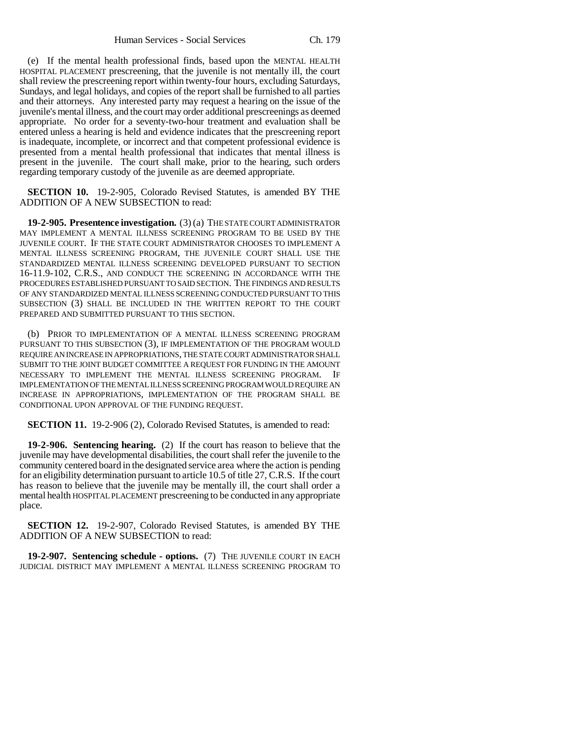(e) If the mental health professional finds, based upon the MENTAL HEALTH HOSPITAL PLACEMENT prescreening, that the juvenile is not mentally ill, the court shall review the prescreening report within twenty-four hours, excluding Saturdays, Sundays, and legal holidays, and copies of the report shall be furnished to all parties and their attorneys. Any interested party may request a hearing on the issue of the juvenile's mental illness, and the court may order additional prescreenings as deemed appropriate. No order for a seventy-two-hour treatment and evaluation shall be entered unless a hearing is held and evidence indicates that the prescreening report is inadequate, incomplete, or incorrect and that competent professional evidence is presented from a mental health professional that indicates that mental illness is present in the juvenile. The court shall make, prior to the hearing, such orders regarding temporary custody of the juvenile as are deemed appropriate.

**SECTION 10.** 19-2-905, Colorado Revised Statutes, is amended BY THE ADDITION OF A NEW SUBSECTION to read:

**19-2-905. Presentence investigation.** (3) (a) THE STATE COURT ADMINISTRATOR MAY IMPLEMENT A MENTAL ILLNESS SCREENING PROGRAM TO BE USED BY THE JUVENILE COURT. IF THE STATE COURT ADMINISTRATOR CHOOSES TO IMPLEMENT A MENTAL ILLNESS SCREENING PROGRAM, THE JUVENILE COURT SHALL USE THE STANDARDIZED MENTAL ILLNESS SCREENING DEVELOPED PURSUANT TO SECTION 16-11.9-102, C.R.S., AND CONDUCT THE SCREENING IN ACCORDANCE WITH THE PROCEDURES ESTABLISHED PURSUANT TO SAID SECTION. THE FINDINGS AND RESULTS OF ANY STANDARDIZED MENTAL ILLNESS SCREENING CONDUCTED PURSUANT TO THIS SUBSECTION (3) SHALL BE INCLUDED IN THE WRITTEN REPORT TO THE COURT PREPARED AND SUBMITTED PURSUANT TO THIS SECTION.

(b) PRIOR TO IMPLEMENTATION OF A MENTAL ILLNESS SCREENING PROGRAM PURSUANT TO THIS SUBSECTION (3), IF IMPLEMENTATION OF THE PROGRAM WOULD REQUIRE AN INCREASE IN APPROPRIATIONS, THE STATE COURT ADMINISTRATOR SHALL SUBMIT TO THE JOINT BUDGET COMMITTEE A REQUEST FOR FUNDING IN THE AMOUNT NECESSARY TO IMPLEMENT THE MENTAL ILLNESS SCREENING PROGRAM. IF IMPLEMENTATION OF THE MENTAL ILLNESS SCREENING PROGRAM WOULD REQUIRE AN INCREASE IN APPROPRIATIONS, IMPLEMENTATION OF THE PROGRAM SHALL BE CONDITIONAL UPON APPROVAL OF THE FUNDING REQUEST.

**SECTION 11.** 19-2-906 (2), Colorado Revised Statutes, is amended to read:

**19-2-906. Sentencing hearing.** (2) If the court has reason to believe that the juvenile may have developmental disabilities, the court shall refer the juvenile to the community centered board in the designated service area where the action is pending for an eligibility determination pursuant to article 10.5 of title 27, C.R.S. If the court has reason to believe that the juvenile may be mentally ill, the court shall order a mental health HOSPITAL PLACEMENT prescreening to be conducted in any appropriate place.

**SECTION 12.** 19-2-907, Colorado Revised Statutes, is amended BY THE ADDITION OF A NEW SUBSECTION to read:

**19-2-907. Sentencing schedule - options.** (7) THE JUVENILE COURT IN EACH JUDICIAL DISTRICT MAY IMPLEMENT A MENTAL ILLNESS SCREENING PROGRAM TO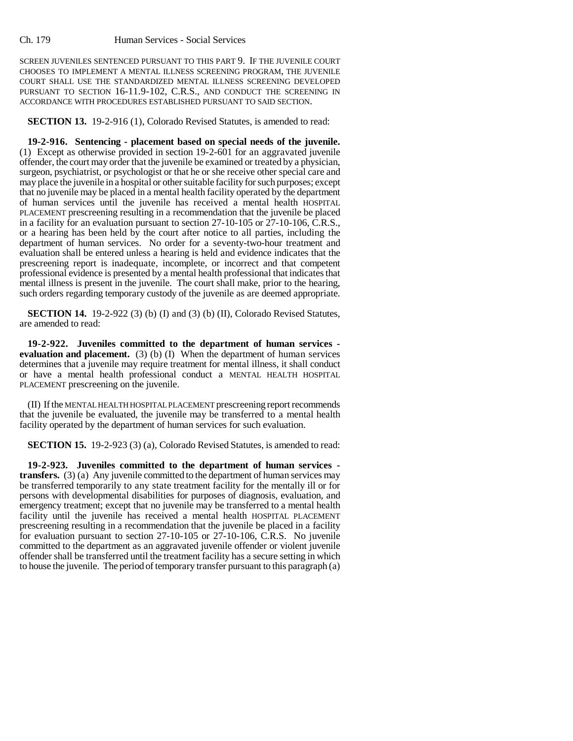SCREEN JUVENILES SENTENCED PURSUANT TO THIS PART 9. IF THE JUVENILE COURT CHOOSES TO IMPLEMENT A MENTAL ILLNESS SCREENING PROGRAM, THE JUVENILE COURT SHALL USE THE STANDARDIZED MENTAL ILLNESS SCREENING DEVELOPED PURSUANT TO SECTION 16-11.9-102, C.R.S., AND CONDUCT THE SCREENING IN ACCORDANCE WITH PROCEDURES ESTABLISHED PURSUANT TO SAID SECTION.

**SECTION 13.** 19-2-916 (1), Colorado Revised Statutes, is amended to read:

**19-2-916. Sentencing - placement based on special needs of the juvenile.** (1) Except as otherwise provided in section 19-2-601 for an aggravated juvenile offender, the court may order that the juvenile be examined or treated by a physician, surgeon, psychiatrist, or psychologist or that he or she receive other special care and may place the juvenile in a hospital or other suitable facility for such purposes; except that no juvenile may be placed in a mental health facility operated by the department of human services until the juvenile has received a mental health HOSPITAL PLACEMENT prescreening resulting in a recommendation that the juvenile be placed in a facility for an evaluation pursuant to section 27-10-105 or 27-10-106, C.R.S., or a hearing has been held by the court after notice to all parties, including the department of human services. No order for a seventy-two-hour treatment and evaluation shall be entered unless a hearing is held and evidence indicates that the prescreening report is inadequate, incomplete, or incorrect and that competent professional evidence is presented by a mental health professional that indicates that mental illness is present in the juvenile. The court shall make, prior to the hearing, such orders regarding temporary custody of the juvenile as are deemed appropriate.

**SECTION 14.** 19-2-922 (3) (b) (I) and (3) (b) (II), Colorado Revised Statutes, are amended to read:

**19-2-922. Juveniles committed to the department of human services evaluation and placement.** (3) (b) (I) When the department of human services determines that a juvenile may require treatment for mental illness, it shall conduct or have a mental health professional conduct a MENTAL HEALTH HOSPITAL PLACEMENT prescreening on the juvenile.

(II) If the MENTAL HEALTH HOSPITAL PLACEMENT prescreening report recommends that the juvenile be evaluated, the juvenile may be transferred to a mental health facility operated by the department of human services for such evaluation.

**SECTION 15.** 19-2-923 (3) (a), Colorado Revised Statutes, is amended to read:

**19-2-923. Juveniles committed to the department of human services transfers.** (3) (a) Any juvenile committed to the department of human services may be transferred temporarily to any state treatment facility for the mentally ill or for persons with developmental disabilities for purposes of diagnosis, evaluation, and emergency treatment; except that no juvenile may be transferred to a mental health facility until the juvenile has received a mental health HOSPITAL PLACEMENT prescreening resulting in a recommendation that the juvenile be placed in a facility for evaluation pursuant to section 27-10-105 or 27-10-106, C.R.S. No juvenile committed to the department as an aggravated juvenile offender or violent juvenile offender shall be transferred until the treatment facility has a secure setting in which to house the juvenile. The period of temporary transfer pursuant to this paragraph (a)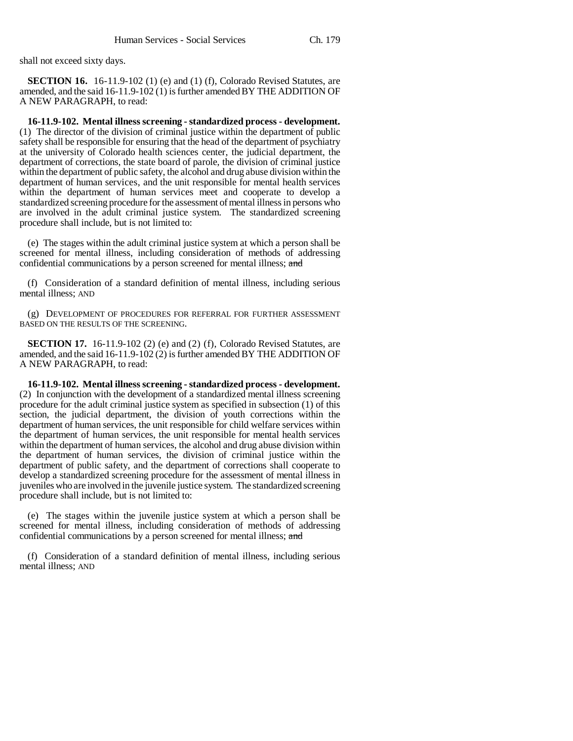shall not exceed sixty days.

**SECTION 16.** 16-11.9-102 (1) (e) and (1) (f), Colorado Revised Statutes, are amended, and the said 16-11.9-102 (1) is further amended BY THE ADDITION OF A NEW PARAGRAPH, to read:

**16-11.9-102. Mental illness screening - standardized process - development.** (1) The director of the division of criminal justice within the department of public safety shall be responsible for ensuring that the head of the department of psychiatry at the university of Colorado health sciences center, the judicial department, the department of corrections, the state board of parole, the division of criminal justice within the department of public safety, the alcohol and drug abuse division within the department of human services, and the unit responsible for mental health services within the department of human services meet and cooperate to develop a standardized screening procedure for the assessment of mental illness in persons who are involved in the adult criminal justice system. The standardized screening procedure shall include, but is not limited to:

(e) The stages within the adult criminal justice system at which a person shall be screened for mental illness, including consideration of methods of addressing confidential communications by a person screened for mental illness; and

(f) Consideration of a standard definition of mental illness, including serious mental illness; AND

(g) DEVELOPMENT OF PROCEDURES FOR REFERRAL FOR FURTHER ASSESSMENT BASED ON THE RESULTS OF THE SCREENING.

**SECTION 17.** 16-11.9-102 (2) (e) and (2) (f), Colorado Revised Statutes, are amended, and the said 16-11.9-102 (2) is further amended BY THE ADDITION OF A NEW PARAGRAPH, to read:

**16-11.9-102. Mental illness screening - standardized process - development.** (2) In conjunction with the development of a standardized mental illness screening procedure for the adult criminal justice system as specified in subsection (1) of this section, the judicial department, the division of youth corrections within the department of human services, the unit responsible for child welfare services within the department of human services, the unit responsible for mental health services within the department of human services, the alcohol and drug abuse division within the department of human services, the division of criminal justice within the department of public safety, and the department of corrections shall cooperate to develop a standardized screening procedure for the assessment of mental illness in juveniles who are involved in the juvenile justice system. The standardized screening procedure shall include, but is not limited to:

(e) The stages within the juvenile justice system at which a person shall be screened for mental illness, including consideration of methods of addressing confidential communications by a person screened for mental illness; and

(f) Consideration of a standard definition of mental illness, including serious mental illness; AND